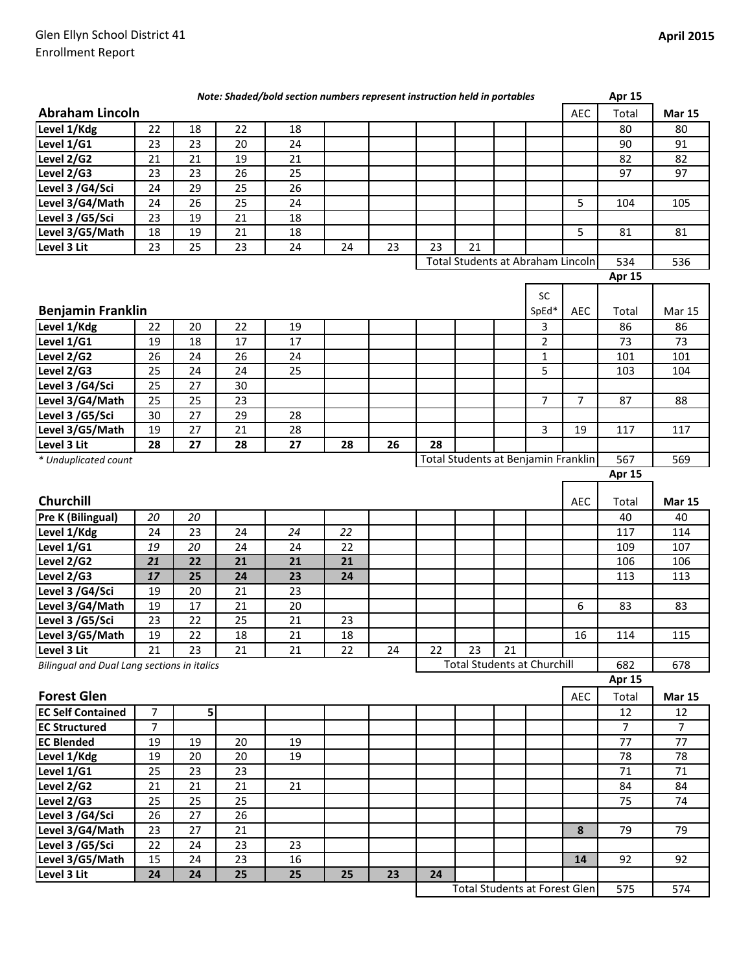| <b>Abraham Lincoln</b><br><b>AEC</b><br>Total<br><b>Mar 15</b><br>22<br>Level 1/Kdg<br>18<br>22<br>18<br>80<br>80<br>Level 1/G1<br>23<br>20<br>91<br>23<br>24<br>90<br>Level 2/G2<br>21<br>82<br>21<br>19<br>21<br>82<br>23<br>97<br>Level 2/G3<br>23<br>26<br>25<br>97<br>29<br>25<br>Level 3 /G4/Sci<br>24<br>26<br>26<br>25<br>5<br>Level 3/G4/Math<br>24<br>24<br>104<br>105<br>23<br>19<br>Level 3 /G5/Sci<br>21<br>18<br>5<br>Level 3/G5/Math<br>18<br>19<br>21<br>18<br>81<br>81<br>21<br>23<br>25<br>23<br>24<br>23<br>23<br>Level 3 Lit<br>24<br>Total Students at Abraham Lincoln<br>534<br>536<br>Apr 15<br>SC<br><b>Benjamin Franklin</b><br>SpEd*<br><b>AEC</b><br>Total<br><b>Mar 15</b><br>Level 1/Kdg<br>20<br>22<br>19<br>3<br>86<br>86<br>22<br>Level 1/G1<br>18<br>$\overline{2}$<br>19<br>17<br>17<br>73<br>73<br>Level 2/G2<br>26<br>24<br>26<br>24<br>$\mathbf{1}$<br>101<br>101<br>Level 2/G3<br>25<br>5<br>25<br>24<br>24<br>103<br>104<br>Level 3 /G4/Sci<br>25<br>30<br>27<br>25<br>25<br>23<br>7<br>Level 3/G4/Math<br>7<br>87<br>88<br>29<br>Level 3 /G5/Sci<br>30<br>27<br>28<br>21<br>3<br>Level 3/G5/Math<br>19<br>27<br>28<br>19<br>117<br>117<br>Level 3 Lit<br>28<br>28<br>27<br>27<br>28<br>26<br>28<br>Total Students at Benjamin Franklin<br>567<br>569<br>* Unduplicated count<br><b>Apr 15</b><br><b>Churchill</b><br><b>AEC</b><br>Total<br><b>Mar 15</b><br>Pre K (Bilingual)<br>20<br>20<br>40<br>40<br>Level 1/Kdg<br>23<br>117<br>114<br>24<br>24<br>24<br>22<br>Level 1/G1<br>20<br>22<br>19<br>24<br>24<br>109<br>107<br>21<br>22<br>Level 2/G2<br>21<br>21<br>21<br>106<br>106<br>17<br>Level 2/G3<br>25<br>24<br>23<br>24<br>113<br>113<br>Level 3 /G4/Sci<br>19<br>20<br>21<br>23<br>17<br>Level 3/G4/Math<br>19<br>21<br>20<br>6<br>83<br>83<br>Level 3 /G5/Sci<br>23<br>22<br>25<br>21<br>23<br>18<br>21<br>19<br>22<br>18<br>16<br>114<br>115<br>21<br>21<br>22<br>23<br>21<br>23<br>21<br>22<br>24<br><b>Total Students at Churchill</b><br>Bilingual and Dual Lang sections in italics<br>682<br>678<br>Apr 15<br><b>Forest Glen</b><br>AEC<br>Total<br><b>Mar 15</b><br>$\overline{7}$<br>5<br>12<br>12<br>$\overline{7}$<br>$\overline{7}$<br>$\overline{7}$<br>77<br>77<br>19<br>19<br>20<br>19<br>19<br>20<br>20<br>19<br>78<br>78<br>Level 1/Kdg<br>23<br>23<br>71<br>71<br>Level $1/G1$<br>25<br>21<br>Level $2/\sqrt{62}$<br>21<br>21<br>21<br>84<br>84<br>25<br>25<br>Level 2/G3<br>25<br>75<br>74<br>26<br>Level 3 /G4/Sci<br>26<br>27<br>Level 3/G4/Math<br>27<br>21<br>8<br>79<br>79<br>23<br>Level 3 /G5/Sci<br>22<br>23<br>24<br>23<br>Level 3/G5/Math<br>24<br>23<br>16<br>15<br>14<br>92<br>92<br>25<br>24<br>24<br>25<br>25<br>23<br>24<br><b>Total Students at Forest Glen</b><br>575<br>574 |  |  | Note: Shaded/bold section numbers represent instruction held in portables |  |  |  | <b>Apr 15</b> |  |
|---------------------------------------------------------------------------------------------------------------------------------------------------------------------------------------------------------------------------------------------------------------------------------------------------------------------------------------------------------------------------------------------------------------------------------------------------------------------------------------------------------------------------------------------------------------------------------------------------------------------------------------------------------------------------------------------------------------------------------------------------------------------------------------------------------------------------------------------------------------------------------------------------------------------------------------------------------------------------------------------------------------------------------------------------------------------------------------------------------------------------------------------------------------------------------------------------------------------------------------------------------------------------------------------------------------------------------------------------------------------------------------------------------------------------------------------------------------------------------------------------------------------------------------------------------------------------------------------------------------------------------------------------------------------------------------------------------------------------------------------------------------------------------------------------------------------------------------------------------------------------------------------------------------------------------------------------------------------------------------------------------------------------------------------------------------------------------------------------------------------------------------------------------------------------------------------------------------------------------------------------------------------------------------------------------------------------------------------------------------------------------------------------------------------------------------------------------------------------------------------------------------------------------------------------------------------------------------------------------------------------------------------------------------------------------------------------------------------------------------------------------------------|--|--|---------------------------------------------------------------------------|--|--|--|---------------|--|
|                                                                                                                                                                                                                                                                                                                                                                                                                                                                                                                                                                                                                                                                                                                                                                                                                                                                                                                                                                                                                                                                                                                                                                                                                                                                                                                                                                                                                                                                                                                                                                                                                                                                                                                                                                                                                                                                                                                                                                                                                                                                                                                                                                                                                                                                                                                                                                                                                                                                                                                                                                                                                                                                                                                                                                     |  |  |                                                                           |  |  |  |               |  |
|                                                                                                                                                                                                                                                                                                                                                                                                                                                                                                                                                                                                                                                                                                                                                                                                                                                                                                                                                                                                                                                                                                                                                                                                                                                                                                                                                                                                                                                                                                                                                                                                                                                                                                                                                                                                                                                                                                                                                                                                                                                                                                                                                                                                                                                                                                                                                                                                                                                                                                                                                                                                                                                                                                                                                                     |  |  |                                                                           |  |  |  |               |  |
|                                                                                                                                                                                                                                                                                                                                                                                                                                                                                                                                                                                                                                                                                                                                                                                                                                                                                                                                                                                                                                                                                                                                                                                                                                                                                                                                                                                                                                                                                                                                                                                                                                                                                                                                                                                                                                                                                                                                                                                                                                                                                                                                                                                                                                                                                                                                                                                                                                                                                                                                                                                                                                                                                                                                                                     |  |  |                                                                           |  |  |  |               |  |
|                                                                                                                                                                                                                                                                                                                                                                                                                                                                                                                                                                                                                                                                                                                                                                                                                                                                                                                                                                                                                                                                                                                                                                                                                                                                                                                                                                                                                                                                                                                                                                                                                                                                                                                                                                                                                                                                                                                                                                                                                                                                                                                                                                                                                                                                                                                                                                                                                                                                                                                                                                                                                                                                                                                                                                     |  |  |                                                                           |  |  |  |               |  |
|                                                                                                                                                                                                                                                                                                                                                                                                                                                                                                                                                                                                                                                                                                                                                                                                                                                                                                                                                                                                                                                                                                                                                                                                                                                                                                                                                                                                                                                                                                                                                                                                                                                                                                                                                                                                                                                                                                                                                                                                                                                                                                                                                                                                                                                                                                                                                                                                                                                                                                                                                                                                                                                                                                                                                                     |  |  |                                                                           |  |  |  |               |  |
|                                                                                                                                                                                                                                                                                                                                                                                                                                                                                                                                                                                                                                                                                                                                                                                                                                                                                                                                                                                                                                                                                                                                                                                                                                                                                                                                                                                                                                                                                                                                                                                                                                                                                                                                                                                                                                                                                                                                                                                                                                                                                                                                                                                                                                                                                                                                                                                                                                                                                                                                                                                                                                                                                                                                                                     |  |  |                                                                           |  |  |  |               |  |
|                                                                                                                                                                                                                                                                                                                                                                                                                                                                                                                                                                                                                                                                                                                                                                                                                                                                                                                                                                                                                                                                                                                                                                                                                                                                                                                                                                                                                                                                                                                                                                                                                                                                                                                                                                                                                                                                                                                                                                                                                                                                                                                                                                                                                                                                                                                                                                                                                                                                                                                                                                                                                                                                                                                                                                     |  |  |                                                                           |  |  |  |               |  |
|                                                                                                                                                                                                                                                                                                                                                                                                                                                                                                                                                                                                                                                                                                                                                                                                                                                                                                                                                                                                                                                                                                                                                                                                                                                                                                                                                                                                                                                                                                                                                                                                                                                                                                                                                                                                                                                                                                                                                                                                                                                                                                                                                                                                                                                                                                                                                                                                                                                                                                                                                                                                                                                                                                                                                                     |  |  |                                                                           |  |  |  |               |  |
|                                                                                                                                                                                                                                                                                                                                                                                                                                                                                                                                                                                                                                                                                                                                                                                                                                                                                                                                                                                                                                                                                                                                                                                                                                                                                                                                                                                                                                                                                                                                                                                                                                                                                                                                                                                                                                                                                                                                                                                                                                                                                                                                                                                                                                                                                                                                                                                                                                                                                                                                                                                                                                                                                                                                                                     |  |  |                                                                           |  |  |  |               |  |
|                                                                                                                                                                                                                                                                                                                                                                                                                                                                                                                                                                                                                                                                                                                                                                                                                                                                                                                                                                                                                                                                                                                                                                                                                                                                                                                                                                                                                                                                                                                                                                                                                                                                                                                                                                                                                                                                                                                                                                                                                                                                                                                                                                                                                                                                                                                                                                                                                                                                                                                                                                                                                                                                                                                                                                     |  |  |                                                                           |  |  |  |               |  |
|                                                                                                                                                                                                                                                                                                                                                                                                                                                                                                                                                                                                                                                                                                                                                                                                                                                                                                                                                                                                                                                                                                                                                                                                                                                                                                                                                                                                                                                                                                                                                                                                                                                                                                                                                                                                                                                                                                                                                                                                                                                                                                                                                                                                                                                                                                                                                                                                                                                                                                                                                                                                                                                                                                                                                                     |  |  |                                                                           |  |  |  |               |  |
|                                                                                                                                                                                                                                                                                                                                                                                                                                                                                                                                                                                                                                                                                                                                                                                                                                                                                                                                                                                                                                                                                                                                                                                                                                                                                                                                                                                                                                                                                                                                                                                                                                                                                                                                                                                                                                                                                                                                                                                                                                                                                                                                                                                                                                                                                                                                                                                                                                                                                                                                                                                                                                                                                                                                                                     |  |  |                                                                           |  |  |  |               |  |
|                                                                                                                                                                                                                                                                                                                                                                                                                                                                                                                                                                                                                                                                                                                                                                                                                                                                                                                                                                                                                                                                                                                                                                                                                                                                                                                                                                                                                                                                                                                                                                                                                                                                                                                                                                                                                                                                                                                                                                                                                                                                                                                                                                                                                                                                                                                                                                                                                                                                                                                                                                                                                                                                                                                                                                     |  |  |                                                                           |  |  |  |               |  |
|                                                                                                                                                                                                                                                                                                                                                                                                                                                                                                                                                                                                                                                                                                                                                                                                                                                                                                                                                                                                                                                                                                                                                                                                                                                                                                                                                                                                                                                                                                                                                                                                                                                                                                                                                                                                                                                                                                                                                                                                                                                                                                                                                                                                                                                                                                                                                                                                                                                                                                                                                                                                                                                                                                                                                                     |  |  |                                                                           |  |  |  |               |  |
|                                                                                                                                                                                                                                                                                                                                                                                                                                                                                                                                                                                                                                                                                                                                                                                                                                                                                                                                                                                                                                                                                                                                                                                                                                                                                                                                                                                                                                                                                                                                                                                                                                                                                                                                                                                                                                                                                                                                                                                                                                                                                                                                                                                                                                                                                                                                                                                                                                                                                                                                                                                                                                                                                                                                                                     |  |  |                                                                           |  |  |  |               |  |
|                                                                                                                                                                                                                                                                                                                                                                                                                                                                                                                                                                                                                                                                                                                                                                                                                                                                                                                                                                                                                                                                                                                                                                                                                                                                                                                                                                                                                                                                                                                                                                                                                                                                                                                                                                                                                                                                                                                                                                                                                                                                                                                                                                                                                                                                                                                                                                                                                                                                                                                                                                                                                                                                                                                                                                     |  |  |                                                                           |  |  |  |               |  |
|                                                                                                                                                                                                                                                                                                                                                                                                                                                                                                                                                                                                                                                                                                                                                                                                                                                                                                                                                                                                                                                                                                                                                                                                                                                                                                                                                                                                                                                                                                                                                                                                                                                                                                                                                                                                                                                                                                                                                                                                                                                                                                                                                                                                                                                                                                                                                                                                                                                                                                                                                                                                                                                                                                                                                                     |  |  |                                                                           |  |  |  |               |  |
|                                                                                                                                                                                                                                                                                                                                                                                                                                                                                                                                                                                                                                                                                                                                                                                                                                                                                                                                                                                                                                                                                                                                                                                                                                                                                                                                                                                                                                                                                                                                                                                                                                                                                                                                                                                                                                                                                                                                                                                                                                                                                                                                                                                                                                                                                                                                                                                                                                                                                                                                                                                                                                                                                                                                                                     |  |  |                                                                           |  |  |  |               |  |
|                                                                                                                                                                                                                                                                                                                                                                                                                                                                                                                                                                                                                                                                                                                                                                                                                                                                                                                                                                                                                                                                                                                                                                                                                                                                                                                                                                                                                                                                                                                                                                                                                                                                                                                                                                                                                                                                                                                                                                                                                                                                                                                                                                                                                                                                                                                                                                                                                                                                                                                                                                                                                                                                                                                                                                     |  |  |                                                                           |  |  |  |               |  |
|                                                                                                                                                                                                                                                                                                                                                                                                                                                                                                                                                                                                                                                                                                                                                                                                                                                                                                                                                                                                                                                                                                                                                                                                                                                                                                                                                                                                                                                                                                                                                                                                                                                                                                                                                                                                                                                                                                                                                                                                                                                                                                                                                                                                                                                                                                                                                                                                                                                                                                                                                                                                                                                                                                                                                                     |  |  |                                                                           |  |  |  |               |  |
|                                                                                                                                                                                                                                                                                                                                                                                                                                                                                                                                                                                                                                                                                                                                                                                                                                                                                                                                                                                                                                                                                                                                                                                                                                                                                                                                                                                                                                                                                                                                                                                                                                                                                                                                                                                                                                                                                                                                                                                                                                                                                                                                                                                                                                                                                                                                                                                                                                                                                                                                                                                                                                                                                                                                                                     |  |  |                                                                           |  |  |  |               |  |
|                                                                                                                                                                                                                                                                                                                                                                                                                                                                                                                                                                                                                                                                                                                                                                                                                                                                                                                                                                                                                                                                                                                                                                                                                                                                                                                                                                                                                                                                                                                                                                                                                                                                                                                                                                                                                                                                                                                                                                                                                                                                                                                                                                                                                                                                                                                                                                                                                                                                                                                                                                                                                                                                                                                                                                     |  |  |                                                                           |  |  |  |               |  |
|                                                                                                                                                                                                                                                                                                                                                                                                                                                                                                                                                                                                                                                                                                                                                                                                                                                                                                                                                                                                                                                                                                                                                                                                                                                                                                                                                                                                                                                                                                                                                                                                                                                                                                                                                                                                                                                                                                                                                                                                                                                                                                                                                                                                                                                                                                                                                                                                                                                                                                                                                                                                                                                                                                                                                                     |  |  |                                                                           |  |  |  |               |  |
|                                                                                                                                                                                                                                                                                                                                                                                                                                                                                                                                                                                                                                                                                                                                                                                                                                                                                                                                                                                                                                                                                                                                                                                                                                                                                                                                                                                                                                                                                                                                                                                                                                                                                                                                                                                                                                                                                                                                                                                                                                                                                                                                                                                                                                                                                                                                                                                                                                                                                                                                                                                                                                                                                                                                                                     |  |  |                                                                           |  |  |  |               |  |
|                                                                                                                                                                                                                                                                                                                                                                                                                                                                                                                                                                                                                                                                                                                                                                                                                                                                                                                                                                                                                                                                                                                                                                                                                                                                                                                                                                                                                                                                                                                                                                                                                                                                                                                                                                                                                                                                                                                                                                                                                                                                                                                                                                                                                                                                                                                                                                                                                                                                                                                                                                                                                                                                                                                                                                     |  |  |                                                                           |  |  |  |               |  |
|                                                                                                                                                                                                                                                                                                                                                                                                                                                                                                                                                                                                                                                                                                                                                                                                                                                                                                                                                                                                                                                                                                                                                                                                                                                                                                                                                                                                                                                                                                                                                                                                                                                                                                                                                                                                                                                                                                                                                                                                                                                                                                                                                                                                                                                                                                                                                                                                                                                                                                                                                                                                                                                                                                                                                                     |  |  |                                                                           |  |  |  |               |  |
|                                                                                                                                                                                                                                                                                                                                                                                                                                                                                                                                                                                                                                                                                                                                                                                                                                                                                                                                                                                                                                                                                                                                                                                                                                                                                                                                                                                                                                                                                                                                                                                                                                                                                                                                                                                                                                                                                                                                                                                                                                                                                                                                                                                                                                                                                                                                                                                                                                                                                                                                                                                                                                                                                                                                                                     |  |  |                                                                           |  |  |  |               |  |
|                                                                                                                                                                                                                                                                                                                                                                                                                                                                                                                                                                                                                                                                                                                                                                                                                                                                                                                                                                                                                                                                                                                                                                                                                                                                                                                                                                                                                                                                                                                                                                                                                                                                                                                                                                                                                                                                                                                                                                                                                                                                                                                                                                                                                                                                                                                                                                                                                                                                                                                                                                                                                                                                                                                                                                     |  |  |                                                                           |  |  |  |               |  |
|                                                                                                                                                                                                                                                                                                                                                                                                                                                                                                                                                                                                                                                                                                                                                                                                                                                                                                                                                                                                                                                                                                                                                                                                                                                                                                                                                                                                                                                                                                                                                                                                                                                                                                                                                                                                                                                                                                                                                                                                                                                                                                                                                                                                                                                                                                                                                                                                                                                                                                                                                                                                                                                                                                                                                                     |  |  |                                                                           |  |  |  |               |  |
| Level 3 Lit<br>Level 3 Lit                                                                                                                                                                                                                                                                                                                                                                                                                                                                                                                                                                                                                                                                                                                                                                                                                                                                                                                                                                                                                                                                                                                                                                                                                                                                                                                                                                                                                                                                                                                                                                                                                                                                                                                                                                                                                                                                                                                                                                                                                                                                                                                                                                                                                                                                                                                                                                                                                                                                                                                                                                                                                                                                                                                                          |  |  |                                                                           |  |  |  |               |  |
|                                                                                                                                                                                                                                                                                                                                                                                                                                                                                                                                                                                                                                                                                                                                                                                                                                                                                                                                                                                                                                                                                                                                                                                                                                                                                                                                                                                                                                                                                                                                                                                                                                                                                                                                                                                                                                                                                                                                                                                                                                                                                                                                                                                                                                                                                                                                                                                                                                                                                                                                                                                                                                                                                                                                                                     |  |  |                                                                           |  |  |  |               |  |
|                                                                                                                                                                                                                                                                                                                                                                                                                                                                                                                                                                                                                                                                                                                                                                                                                                                                                                                                                                                                                                                                                                                                                                                                                                                                                                                                                                                                                                                                                                                                                                                                                                                                                                                                                                                                                                                                                                                                                                                                                                                                                                                                                                                                                                                                                                                                                                                                                                                                                                                                                                                                                                                                                                                                                                     |  |  |                                                                           |  |  |  |               |  |
| Level 3/G5/Math<br><b>EC Self Contained</b><br><b>EC Structured</b><br><b>EC Blended</b>                                                                                                                                                                                                                                                                                                                                                                                                                                                                                                                                                                                                                                                                                                                                                                                                                                                                                                                                                                                                                                                                                                                                                                                                                                                                                                                                                                                                                                                                                                                                                                                                                                                                                                                                                                                                                                                                                                                                                                                                                                                                                                                                                                                                                                                                                                                                                                                                                                                                                                                                                                                                                                                                            |  |  |                                                                           |  |  |  |               |  |
|                                                                                                                                                                                                                                                                                                                                                                                                                                                                                                                                                                                                                                                                                                                                                                                                                                                                                                                                                                                                                                                                                                                                                                                                                                                                                                                                                                                                                                                                                                                                                                                                                                                                                                                                                                                                                                                                                                                                                                                                                                                                                                                                                                                                                                                                                                                                                                                                                                                                                                                                                                                                                                                                                                                                                                     |  |  |                                                                           |  |  |  |               |  |
|                                                                                                                                                                                                                                                                                                                                                                                                                                                                                                                                                                                                                                                                                                                                                                                                                                                                                                                                                                                                                                                                                                                                                                                                                                                                                                                                                                                                                                                                                                                                                                                                                                                                                                                                                                                                                                                                                                                                                                                                                                                                                                                                                                                                                                                                                                                                                                                                                                                                                                                                                                                                                                                                                                                                                                     |  |  |                                                                           |  |  |  |               |  |
|                                                                                                                                                                                                                                                                                                                                                                                                                                                                                                                                                                                                                                                                                                                                                                                                                                                                                                                                                                                                                                                                                                                                                                                                                                                                                                                                                                                                                                                                                                                                                                                                                                                                                                                                                                                                                                                                                                                                                                                                                                                                                                                                                                                                                                                                                                                                                                                                                                                                                                                                                                                                                                                                                                                                                                     |  |  |                                                                           |  |  |  |               |  |
|                                                                                                                                                                                                                                                                                                                                                                                                                                                                                                                                                                                                                                                                                                                                                                                                                                                                                                                                                                                                                                                                                                                                                                                                                                                                                                                                                                                                                                                                                                                                                                                                                                                                                                                                                                                                                                                                                                                                                                                                                                                                                                                                                                                                                                                                                                                                                                                                                                                                                                                                                                                                                                                                                                                                                                     |  |  |                                                                           |  |  |  |               |  |
|                                                                                                                                                                                                                                                                                                                                                                                                                                                                                                                                                                                                                                                                                                                                                                                                                                                                                                                                                                                                                                                                                                                                                                                                                                                                                                                                                                                                                                                                                                                                                                                                                                                                                                                                                                                                                                                                                                                                                                                                                                                                                                                                                                                                                                                                                                                                                                                                                                                                                                                                                                                                                                                                                                                                                                     |  |  |                                                                           |  |  |  |               |  |
|                                                                                                                                                                                                                                                                                                                                                                                                                                                                                                                                                                                                                                                                                                                                                                                                                                                                                                                                                                                                                                                                                                                                                                                                                                                                                                                                                                                                                                                                                                                                                                                                                                                                                                                                                                                                                                                                                                                                                                                                                                                                                                                                                                                                                                                                                                                                                                                                                                                                                                                                                                                                                                                                                                                                                                     |  |  |                                                                           |  |  |  |               |  |
|                                                                                                                                                                                                                                                                                                                                                                                                                                                                                                                                                                                                                                                                                                                                                                                                                                                                                                                                                                                                                                                                                                                                                                                                                                                                                                                                                                                                                                                                                                                                                                                                                                                                                                                                                                                                                                                                                                                                                                                                                                                                                                                                                                                                                                                                                                                                                                                                                                                                                                                                                                                                                                                                                                                                                                     |  |  |                                                                           |  |  |  |               |  |
|                                                                                                                                                                                                                                                                                                                                                                                                                                                                                                                                                                                                                                                                                                                                                                                                                                                                                                                                                                                                                                                                                                                                                                                                                                                                                                                                                                                                                                                                                                                                                                                                                                                                                                                                                                                                                                                                                                                                                                                                                                                                                                                                                                                                                                                                                                                                                                                                                                                                                                                                                                                                                                                                                                                                                                     |  |  |                                                                           |  |  |  |               |  |
|                                                                                                                                                                                                                                                                                                                                                                                                                                                                                                                                                                                                                                                                                                                                                                                                                                                                                                                                                                                                                                                                                                                                                                                                                                                                                                                                                                                                                                                                                                                                                                                                                                                                                                                                                                                                                                                                                                                                                                                                                                                                                                                                                                                                                                                                                                                                                                                                                                                                                                                                                                                                                                                                                                                                                                     |  |  |                                                                           |  |  |  |               |  |
|                                                                                                                                                                                                                                                                                                                                                                                                                                                                                                                                                                                                                                                                                                                                                                                                                                                                                                                                                                                                                                                                                                                                                                                                                                                                                                                                                                                                                                                                                                                                                                                                                                                                                                                                                                                                                                                                                                                                                                                                                                                                                                                                                                                                                                                                                                                                                                                                                                                                                                                                                                                                                                                                                                                                                                     |  |  |                                                                           |  |  |  |               |  |
|                                                                                                                                                                                                                                                                                                                                                                                                                                                                                                                                                                                                                                                                                                                                                                                                                                                                                                                                                                                                                                                                                                                                                                                                                                                                                                                                                                                                                                                                                                                                                                                                                                                                                                                                                                                                                                                                                                                                                                                                                                                                                                                                                                                                                                                                                                                                                                                                                                                                                                                                                                                                                                                                                                                                                                     |  |  |                                                                           |  |  |  |               |  |
|                                                                                                                                                                                                                                                                                                                                                                                                                                                                                                                                                                                                                                                                                                                                                                                                                                                                                                                                                                                                                                                                                                                                                                                                                                                                                                                                                                                                                                                                                                                                                                                                                                                                                                                                                                                                                                                                                                                                                                                                                                                                                                                                                                                                                                                                                                                                                                                                                                                                                                                                                                                                                                                                                                                                                                     |  |  |                                                                           |  |  |  |               |  |
|                                                                                                                                                                                                                                                                                                                                                                                                                                                                                                                                                                                                                                                                                                                                                                                                                                                                                                                                                                                                                                                                                                                                                                                                                                                                                                                                                                                                                                                                                                                                                                                                                                                                                                                                                                                                                                                                                                                                                                                                                                                                                                                                                                                                                                                                                                                                                                                                                                                                                                                                                                                                                                                                                                                                                                     |  |  |                                                                           |  |  |  |               |  |
|                                                                                                                                                                                                                                                                                                                                                                                                                                                                                                                                                                                                                                                                                                                                                                                                                                                                                                                                                                                                                                                                                                                                                                                                                                                                                                                                                                                                                                                                                                                                                                                                                                                                                                                                                                                                                                                                                                                                                                                                                                                                                                                                                                                                                                                                                                                                                                                                                                                                                                                                                                                                                                                                                                                                                                     |  |  |                                                                           |  |  |  |               |  |
|                                                                                                                                                                                                                                                                                                                                                                                                                                                                                                                                                                                                                                                                                                                                                                                                                                                                                                                                                                                                                                                                                                                                                                                                                                                                                                                                                                                                                                                                                                                                                                                                                                                                                                                                                                                                                                                                                                                                                                                                                                                                                                                                                                                                                                                                                                                                                                                                                                                                                                                                                                                                                                                                                                                                                                     |  |  |                                                                           |  |  |  |               |  |
|                                                                                                                                                                                                                                                                                                                                                                                                                                                                                                                                                                                                                                                                                                                                                                                                                                                                                                                                                                                                                                                                                                                                                                                                                                                                                                                                                                                                                                                                                                                                                                                                                                                                                                                                                                                                                                                                                                                                                                                                                                                                                                                                                                                                                                                                                                                                                                                                                                                                                                                                                                                                                                                                                                                                                                     |  |  |                                                                           |  |  |  |               |  |
|                                                                                                                                                                                                                                                                                                                                                                                                                                                                                                                                                                                                                                                                                                                                                                                                                                                                                                                                                                                                                                                                                                                                                                                                                                                                                                                                                                                                                                                                                                                                                                                                                                                                                                                                                                                                                                                                                                                                                                                                                                                                                                                                                                                                                                                                                                                                                                                                                                                                                                                                                                                                                                                                                                                                                                     |  |  |                                                                           |  |  |  |               |  |
|                                                                                                                                                                                                                                                                                                                                                                                                                                                                                                                                                                                                                                                                                                                                                                                                                                                                                                                                                                                                                                                                                                                                                                                                                                                                                                                                                                                                                                                                                                                                                                                                                                                                                                                                                                                                                                                                                                                                                                                                                                                                                                                                                                                                                                                                                                                                                                                                                                                                                                                                                                                                                                                                                                                                                                     |  |  |                                                                           |  |  |  |               |  |